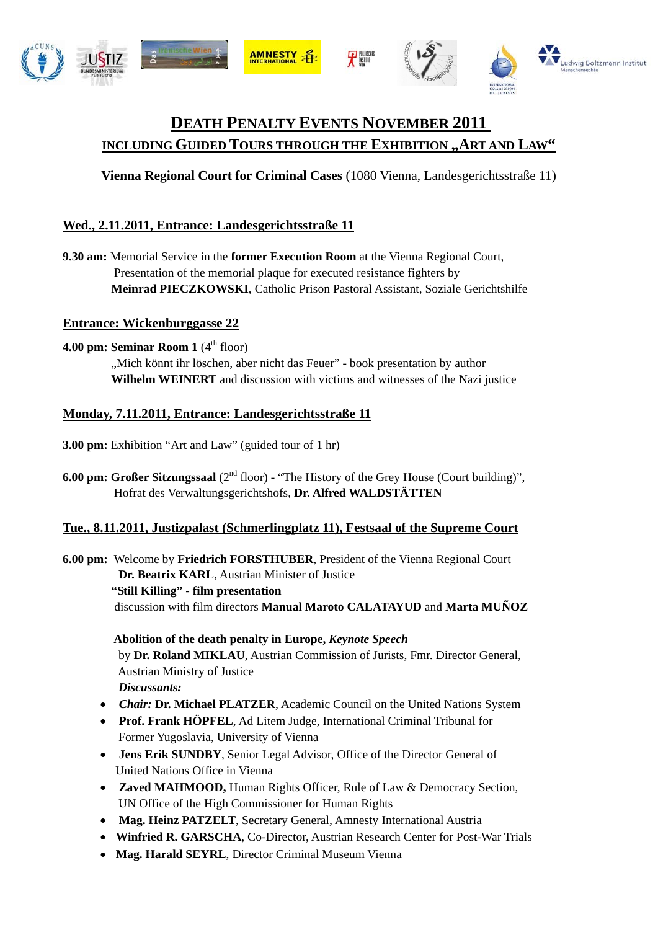

# **DEATH PENALTY EVENTS NOVEMBER 2011 INCLUDING GUIDED TOURS THROUGH THE EXHIBITION "ART AND LAW"**

**Vienna Regional Court for Criminal Cases** (1080 Vienna, Landesgerichtsstraße 11)

# **Wed., 2.11.2011, Entrance: Landesgerichtsstraße 11**

**9.30 am:** Memorial Service in the **former Execution Room** at the Vienna Regional Court, Presentation of the memorial plaque for executed resistance fighters by  **Meinrad PIECZKOWSKI**, Catholic Prison Pastoral Assistant, Soziale Gerichtshilfe

### **Entrance: Wickenburggasse 22**

**4.00 pm: Seminar Room 1** (4<sup>th</sup> floor)

"Mich könnt ihr löschen, aber nicht das Feuer" - book presentation by author **Wilhelm WEINERT** and discussion with victims and witnesses of the Nazi justice

### **Monday, 7.11.2011, Entrance: Landesgerichtsstraße 11**

**3.00 pm:** Exhibition "Art and Law" (guided tour of 1 hr)

**6.00 pm: Großer Sitzungssaal** (2<sup>nd</sup> floor) - "The History of the Grey House (Court building)", Hofrat des Verwaltungsgerichtshofs, **Dr. Alfred WALDSTÄTTEN** 

# **Tue., 8.11.2011, Justizpalast (Schmerlingplatz 11), Festsaal of the Supreme Court**

**6.00 pm:** Welcome by **Friedrich FORSTHUBER**, President of the Vienna Regional Court **Dr. Beatrix KARL**, Austrian Minister of Justice **"Still Killing" - film presentation**  discussion with film directors **Manual Maroto CALATAYUD** and **Marta MUÑOZ** 

> **Abolition of the death penalty in Europe,** *Keynote Speech* by **Dr. Roland MIKLAU**, Austrian Commission of Jurists, Fmr. Director General, Austrian Ministry of Justice *Discussants:*

- *Chair:* **Dr. Michael PLATZER**, Academic Council on the United Nations System
- **Prof. Frank HÖPFEL**, Ad Litem Judge, International Criminal Tribunal for Former Yugoslavia, University of Vienna
- **Jens Erik SUNDBY**, Senior Legal Advisor, Office of the Director General of United Nations Office in Vienna
- **Zaved MAHMOOD,** Human Rights Officer, Rule of Law & Democracy Section, UN Office of the High Commissioner for Human Rights
- **Mag. Heinz PATZELT**, Secretary General, Amnesty International Austria
- **Winfried R. GARSCHA**, Co-Director, Austrian Research Center for Post-War Trials
- **Mag. Harald SEYRL**, Director Criminal Museum Vienna